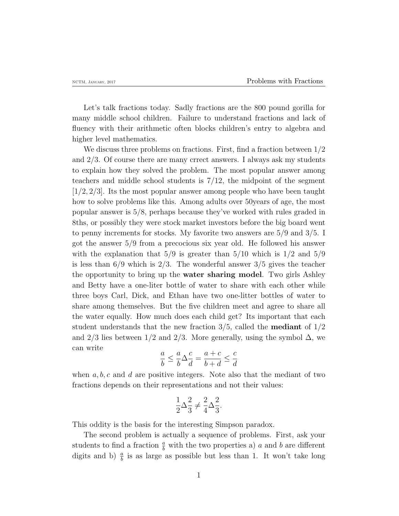Let's talk fractions today. Sadly fractions are the 800 pound gorilla for many middle school children. Failure to understand fractions and lack of fluency with their arithmetic often blocks children's entry to algebra and higher level mathematics.

We discuss three problems on fractions. First, find a fraction between 1*/*2 and 2*/*3. Of course there are many crrect answers. I always ask my students to explain how they solved the problem. The most popular answer among teachers and middle school students is 7*/*12, the midpoint of the segment [1*/*2*,* 2*/*3]. Its the most popular answer among people who have been taught how to solve problems like this. Among adults over 50years of age, the most popular answer is 5*/*8, perhaps because they've worked with rules graded in 8ths, or possibly they were stock market investors before the big board went to penny increments for stocks. My favorite two answers are 5*/*9 and 3*/*5. I got the answer 5*/*9 from a precocious six year old. He followed his answer with the explanation that 5*/*9 is greater than 5*/*10 which is 1*/*2 and 5*/*9 is less than 6*/*9 which is 2*/*3. The wonderful answer 3*/*5 gives the teacher the opportunity to bring up the **water sharing model**. Two girls Ashley and Betty have a one-liter bottle of water to share with each other while three boys Carl, Dick, and Ethan have two one-litter bottles of water to share among themselves. But the five children meet and agree to share all the water equally. How much does each child get? Its important that each student understands that the new fraction 3*/*5, called the **mediant** of 1*/*2 and 2/3 lies between  $1/2$  and  $2/3$ . More generally, using the symbol  $\Delta$ , we can write

$$
\frac{a}{b} \le \frac{a}{b} \Delta \frac{c}{d} = \frac{a+c}{b+d} \le \frac{c}{d}
$$

when *a, b, c* and *d* are positive integers. Note also that the mediant of two fractions depends on their representations and not their values:

$$
\frac{1}{2}\Delta \frac{2}{3} \neq \frac{2}{4}\Delta \frac{2}{3}.
$$

This oddity is the basis for the interesting Simpson paradox.

The second problem is actually a sequence of problems. First, ask your students to find a fraction  $\frac{a}{b}$  with the two properties a) *a* and *b* are different digits and b)  $\frac{a}{b}$  is as large as possible but less than 1. It won't take long